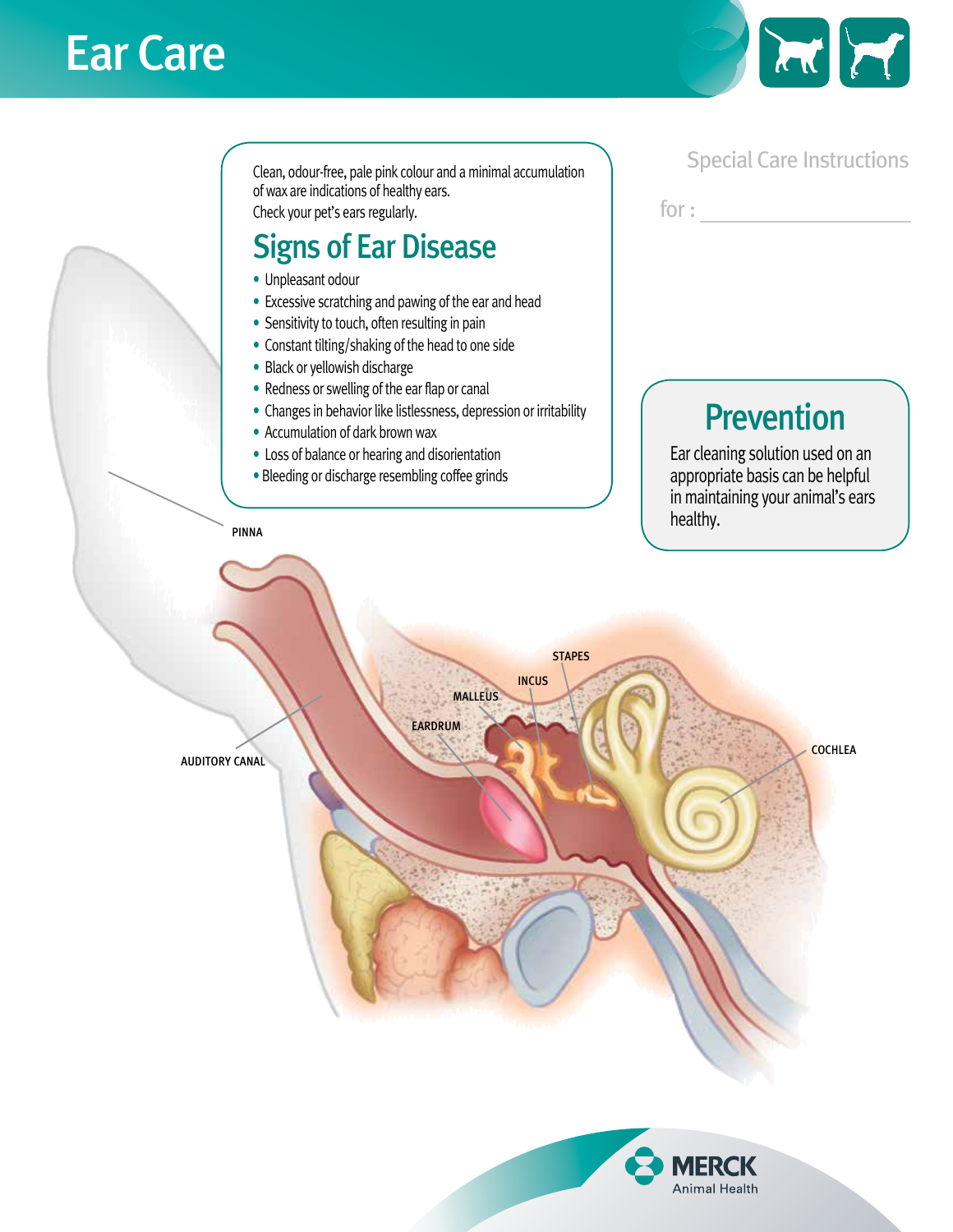## Ear Care